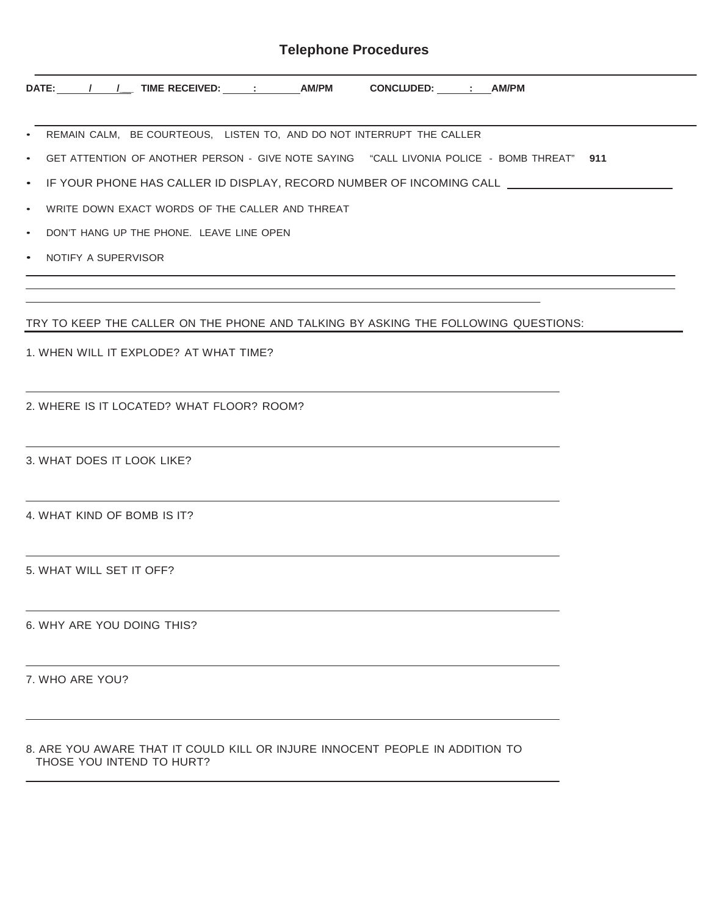## **Telephone Procedures**

| DATE: / / / TIME RECEIVED: _ : _ AM/PM CONCLUDED: _ : AM/PM                                                                                          |
|------------------------------------------------------------------------------------------------------------------------------------------------------|
| • REMAIN CALM, BE COURTEOUS, LISTEN TO, AND DO NOT INTERRUPT THE CALLER                                                                              |
| • GET ATTENTION OF ANOTHER PERSON - GIVE NOTE SAYING "CALL LIVONIA POLICE - BOMB THREAT" 911                                                         |
| • IF YOUR PHONE HAS CALLER ID DISPLAY, RECORD NUMBER OF INCOMING CALL _____________________________                                                  |
| • WRITE DOWN EXACT WORDS OF THE CALLER AND THREAT                                                                                                    |
| • DON'T HANG UP THE PHONE. LEAVE LINE OPEN                                                                                                           |
| • NOTIFY A SUPERVISOR                                                                                                                                |
| TRY TO KEEP THE CALLER ON THE PHONE AND TALKING BY ASKING THE FOLLOWING QUESTIONS:                                                                   |
| 1. WHEN WILL IT EXPLODE? AT WHAT TIME?                                                                                                               |
| <u> 1989 - Johann Stoff, amerikansk politiker (d. 1989)</u><br>2. WHERE IS IT LOCATED? WHAT FLOOR? ROOM?                                             |
| <u> 1989 - Johann Stoff, deutscher Stoff, der Stoff, der Stoff, der Stoff, der Stoff, der Stoff, der Stoff, der S</u><br>3. WHAT DOES IT LOOK LIKE?  |
| <u> 1989 - Johann Stoff, deutscher Stoff, der Stoff, der Stoff, der Stoff, der Stoff, der Stoff, der Stoff, der S</u><br>4. WHAT KIND OF BOMB IS IT? |
| 5. WHAT WILL SET IT OFF?                                                                                                                             |
| 6. WHY ARE YOU DOING THIS?                                                                                                                           |
| 7. WHO ARE YOU?                                                                                                                                      |

## 8. ARE YOU AWARE THAT IT COULD KILL OR INJURE INNOCENT PEOPLE IN ADDITION TO THOSE YOU INTEND TO HURT?